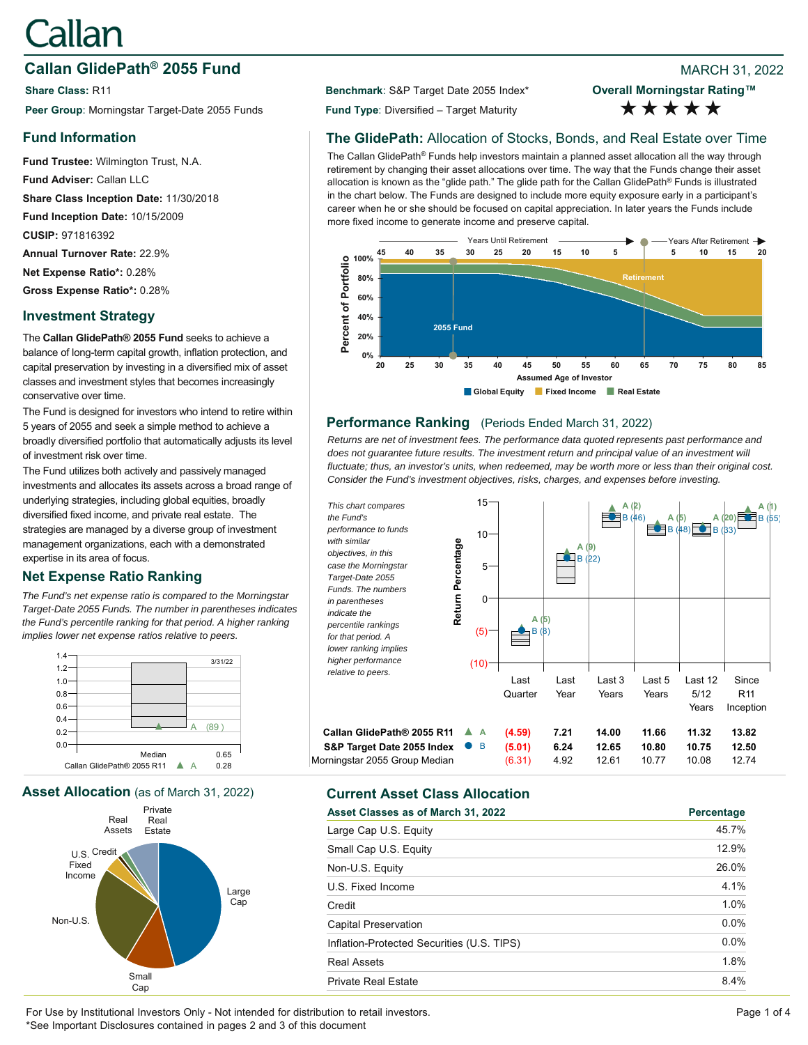# Callan

# **Callan GlidePath<sup>®</sup> 2055 Fund Branch 2008 Branch 2022 Branch 2022 Branch 2022**

**Share Class:** R11 **Benchmark**: S&P Target Date 2055 Index\* **Peer Group**: Morningstar Target-Date 2055 Funds **Fund Type**: Diversified – Target Maturity

# **Fund Information**

**Fund Trustee:** Wilmington Trust, N.A. **Fund Adviser:** Callan LLC **Share Class Inception Date:** 11/30/2018 **Fund Inception Date:** 10/15/2009 **CUSIP:** 971816392 **Annual Turnover Rate:** 22.9% **Net Expense Ratio\*:** 0.28% **Gross Expense Ratio\*:** 0.28%

# **Investment Strategy**

The **Callan GlidePath® 2055 Fund** seeks to achieve a balance of long-term capital growth, inflation protection, and capital preservation by investing in a diversified mix of asset classes and investment styles that becomes increasingly conservative over time.

The Fund is designed for investors who intend to retire within 5 years of 2055 and seek a simple method to achieve a broadly diversified portfolio that automatically adjusts its level of investment risk over time.

The Fund utilizes both actively and passively managed investments and allocates its assets across a broad range of underlying strategies, including global equities, broadly diversified fixed income, and private real estate. The strategies are managed by a diverse group of investment management organizations, each with a demonstrated expertise in its area of focus.

# **Net Expense Ratio Ranking**

*The Fund's net expense ratio is compared to the Morningstar Target-Date 2055 Funds. The number in parentheses indicates the Fund's percentile ranking for that period. A higher ranking implies lower net expense ratios relative to peers.*



**Asset Allocation** (as of March 31, 2022) **Current Asset Class Allocation**



**Overall Morningstar Rating™** \*\*\*\*\*

# **The GlidePath:** Allocation of Stocks, Bonds, and Real Estate over Time

The Callan GlidePath® Funds help investors maintain a planned asset allocation all the way through retirement by changing their asset allocations over time. The way that the Funds change their asset allocation is known as the "glide path." The glide path for the Callan GlidePath® Funds is illustrated in the chart below. The Funds are designed to include more equity exposure early in a participant's career when he or she should be focused on capital appreciation. In later years the Funds include more fixed income to generate income and preserve capital.



#### **Performance Ranking** (Periods Ended March 31, 2022)

*Returns are net of investment fees. The performance data quoted represents past performance and*  does not quarantee future results. The investment return and principal value of an investment will *fluctuate; thus, an investor's units, when redeemed, may be worth more or less than their original cost. Consider the Fund's investment objectives, risks, charges, and expenses before investing.*



| Asset Classes as of March 31, 2022         | Percentage |
|--------------------------------------------|------------|
| Large Cap U.S. Equity                      | 45.7%      |
| Small Cap U.S. Equity                      | 12.9%      |
| Non-U.S. Equity                            | 26.0%      |
| U.S. Fixed Income                          | 4.1%       |
| Credit                                     | 1.0%       |
| Capital Preservation                       | $0.0\%$    |
| Inflation-Protected Securities (U.S. TIPS) | $0.0\%$    |
| <b>Real Assets</b>                         | 1.8%       |
| <b>Private Real Estate</b>                 | 8.4%       |

For Use by Institutional Investors Only - Not intended for distribution to retail investors. Page 1 of 4 \*See Important Disclosures contained in pages 2 and 3 of this document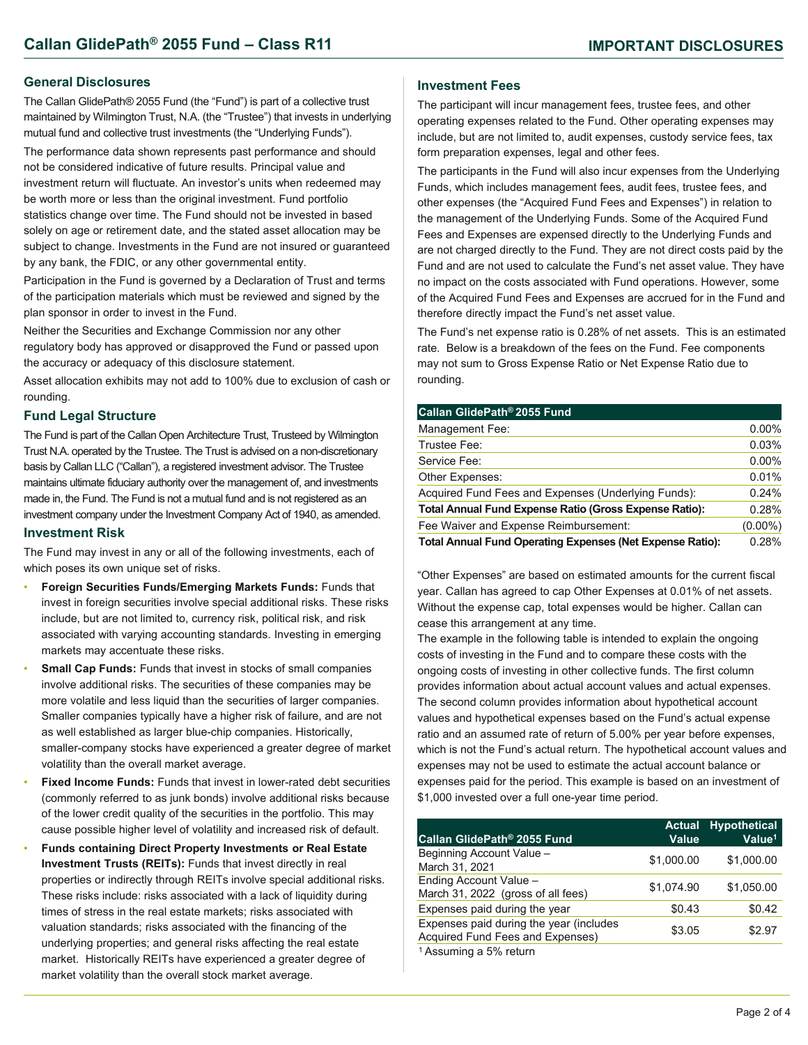#### **General Disclosures**

The Callan GlidePath® 2055 Fund (the "Fund") is part of a collective trust maintained by Wilmington Trust, N.A. (the "Trustee") that invests in underlying mutual fund and collective trust investments (the "Underlying Funds").

The performance data shown represents past performance and should not be considered indicative of future results. Principal value and investment return will fluctuate. An investor's units when redeemed may be worth more or less than the original investment. Fund portfolio statistics change over time. The Fund should not be invested in based solely on age or retirement date, and the stated asset allocation may be subject to change. Investments in the Fund are not insured or guaranteed by any bank, the FDIC, or any other governmental entity.

Participation in the Fund is governed by a Declaration of Trust and terms of the participation materials which must be reviewed and signed by the plan sponsor in order to invest in the Fund.

Neither the Securities and Exchange Commission nor any other regulatory body has approved or disapproved the Fund or passed upon the accuracy or adequacy of this disclosure statement.

Asset allocation exhibits may not add to 100% due to exclusion of cash or rounding.

#### **Fund Legal Structure**

The Fund is part of the Callan Open Architecture Trust, Trusteed by Wilmington Trust N.A. operated by the Trustee. The Trust is advised on a non-discretionary basis by Callan LLC ("Callan"), a registered investment advisor. The Trustee maintains ultimate fiduciary authority over the management of, and investments made in, the Fund. The Fund is not a mutual fund and is not registered as an investment company under the Investment Company Act of 1940, as amended.

#### **Investment Risk**

The Fund may invest in any or all of the following investments, each of which poses its own unique set of risks.

- **Foreign Securities Funds/Emerging Markets Funds:** Funds that invest in foreign securities involve special additional risks. These risks include, but are not limited to, currency risk, political risk, and risk associated with varying accounting standards. Investing in emerging markets may accentuate these risks.
- **Small Cap Funds: Funds that invest in stocks of small companies** involve additional risks. The securities of these companies may be more volatile and less liquid than the securities of larger companies. Smaller companies typically have a higher risk of failure, and are not as well established as larger blue-chip companies. Historically, smaller-company stocks have experienced a greater degree of market volatility than the overall market average.
- **Fixed Income Funds:** Funds that invest in lower-rated debt securities (commonly referred to as junk bonds) involve additional risks because of the lower credit quality of the securities in the portfolio. This may cause possible higher level of volatility and increased risk of default.
- **Funds containing Direct Property Investments or Real Estate Investment Trusts (REITs):** Funds that invest directly in real properties or indirectly through REITs involve special additional risks. These risks include: risks associated with a lack of liquidity during times of stress in the real estate markets; risks associated with valuation standards; risks associated with the financing of the underlying properties; and general risks affecting the real estate market. Historically REITs have experienced a greater degree of market volatility than the overall stock market average.

#### **Investment Fees**

The participant will incur management fees, trustee fees, and other operating expenses related to the Fund. Other operating expenses may include, but are not limited to, audit expenses, custody service fees, tax form preparation expenses, legal and other fees.

The participants in the Fund will also incur expenses from the Underlying Funds, which includes management fees, audit fees, trustee fees, and other expenses (the "Acquired Fund Fees and Expenses") in relation to the management of the Underlying Funds. Some of the Acquired Fund Fees and Expenses are expensed directly to the Underlying Funds and are not charged directly to the Fund. They are not direct costs paid by the Fund and are not used to calculate the Fund's net asset value. They have no impact on the costs associated with Fund operations. However, some of the Acquired Fund Fees and Expenses are accrued for in the Fund and therefore directly impact the Fund's net asset value.

The Fund's net expense ratio is 0.28% of net assets. This is an estimated rate. Below is a breakdown of the fees on the Fund. Fee components may not sum to Gross Expense Ratio or Net Expense Ratio due to rounding.

| Callan GlidePath® 2055 Fund                                      |            |
|------------------------------------------------------------------|------------|
| Management Fee:                                                  | $0.00\%$   |
| Trustee Fee:                                                     | 0.03%      |
| Service Fee:                                                     | $0.00\%$   |
| Other Expenses:                                                  | 0.01%      |
| Acquired Fund Fees and Expenses (Underlying Funds):              | 0.24%      |
| <b>Total Annual Fund Expense Ratio (Gross Expense Ratio):</b>    | 0.28%      |
| Fee Waiver and Expense Reimbursement:                            | $(0.00\%)$ |
| <b>Total Annual Fund Operating Expenses (Net Expense Ratio):</b> | 0.28%      |

"Other Expenses" are based on estimated amounts for the current fiscal year. Callan has agreed to cap Other Expenses at 0.01% of net assets. Without the expense cap, total expenses would be higher. Callan can cease this arrangement at any time.

The example in the following table is intended to explain the ongoing costs of investing in the Fund and to compare these costs with the ongoing costs of investing in other collective funds. The first column provides information about actual account values and actual expenses. The second column provides information about hypothetical account values and hypothetical expenses based on the Fund's actual expense ratio and an assumed rate of return of 5.00% per year before expenses, which is not the Fund's actual return. The hypothetical account values and expenses may not be used to estimate the actual account balance or expenses paid for the period. This example is based on an investment of \$1,000 invested over a full one-year time period.

| Callan GlidePath® 2055 Fund                                                 | <b>Actual</b><br>Value | <b>Hypothetical</b><br>Value <sup>1</sup> |
|-----------------------------------------------------------------------------|------------------------|-------------------------------------------|
| Beginning Account Value -<br>March 31, 2021                                 | \$1,000.00             | \$1,000.00                                |
| Ending Account Value -<br>March 31, 2022 (gross of all fees)                | \$1,074.90             | \$1,050.00                                |
| Expenses paid during the year                                               | \$0.43                 | \$0.42                                    |
| Expenses paid during the year (includes<br>Acquired Fund Fees and Expenses) | \$3.05                 | \$2.97                                    |
| <sup>1</sup> Assuming a 5% return                                           |                        |                                           |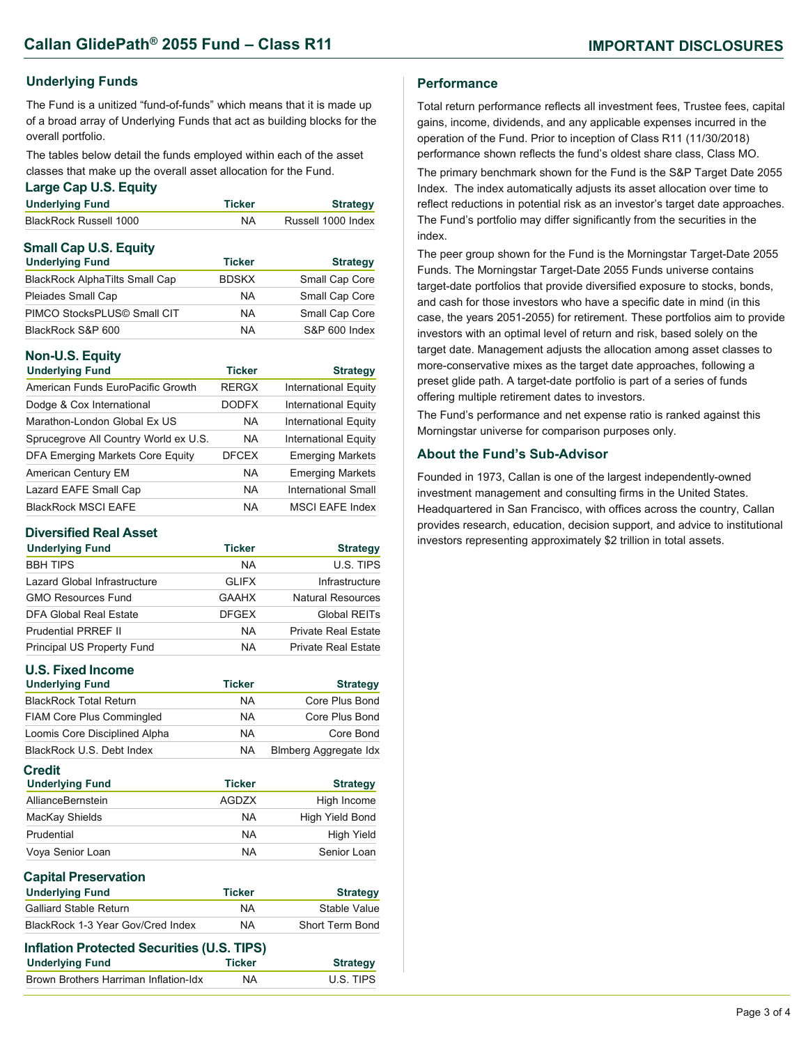### **Underlying Funds**

The Fund is a unitized "fund-of-funds" which means that it is made up of a broad array of Underlying Funds that act as building blocks for the overall portfolio.

The tables below detail the funds employed within each of the asset classes that make up the overall asset allocation for the Fund.

#### **Large Cap U.S. Equity**

| <b>Underlying Fund</b>       | <b>Ticker</b> | <b>Strategy</b>    |
|------------------------------|---------------|--------------------|
| BlackRock Russell 1000       | <b>NA</b>     | Russell 1000 Index |
| <b>Small Cap U.S. Equity</b> | -- -          |                    |

| <b>Underlying Fund</b>                | <b>Ticker</b> | <b>Strategy</b> |
|---------------------------------------|---------------|-----------------|
| <b>BlackRock AlphaTilts Small Cap</b> | <b>BDSKX</b>  | Small Cap Core  |
| Pleiades Small Cap                    | <b>NA</b>     | Small Cap Core  |
| PIMCO StocksPLUS© Small CIT           | <b>NA</b>     | Small Cap Core  |
| BlackRock S&P 600                     | <b>NA</b>     | S&P 600 Index   |

### **Non-U.S. Equity**

| <b>Underlying Fund</b>                | <b>Ticker</b> | <b>Strategy</b>             |
|---------------------------------------|---------------|-----------------------------|
| American Funds EuroPacific Growth     | <b>RERGX</b>  | <b>International Equity</b> |
| Dodge & Cox International             | <b>DODFX</b>  | <b>International Equity</b> |
| Marathon-London Global Ex US          | <b>NA</b>     | <b>International Equity</b> |
| Sprucegrove All Country World ex U.S. | <b>NA</b>     | <b>International Equity</b> |
| DFA Emerging Markets Core Equity      | <b>DFCEX</b>  | <b>Emerging Markets</b>     |
| American Century EM                   | <b>NA</b>     | <b>Emerging Markets</b>     |
| Lazard EAFE Small Cap                 | <b>NA</b>     | International Small         |
| <b>BlackRock MSCI EAFE</b>            | NA            | <b>MSCI EAFE Index</b>      |

#### **Diversified Real Asset**

| <b>Underlying Fund</b>       | <b>Ticker</b> | <b>Strategy</b>            |
|------------------------------|---------------|----------------------------|
| <b>BBH TIPS</b>              | <b>NA</b>     | U.S. TIPS                  |
| Lazard Global Infrastructure | <b>GLIFX</b>  | Infrastructure             |
| <b>GMO Resources Fund</b>    | <b>GAAHX</b>  | Natural Resources          |
| DFA Global Real Estate       | <b>DFGEX</b>  | Global REITs               |
| <b>Prudential PRREF II</b>   | <b>NA</b>     | <b>Private Real Estate</b> |
| Principal US Property Fund   | NA            | <b>Private Real Estate</b> |

| <b>U.S. Fixed Income</b>                   |               |                              |
|--------------------------------------------|---------------|------------------------------|
| <b>Underlying Fund</b>                     | <b>Ticker</b> | <b>Strategy</b>              |
| <b>BlackRock Total Return</b>              | <b>NA</b>     | Core Plus Bond               |
| <b>FIAM Core Plus Commingled</b>           | NA.           | Core Plus Bond               |
| Loomis Core Disciplined Alpha              | NA.           | Core Bond                    |
| BlackRock U.S. Debt Index                  | NA.           | <b>Blmberg Aggregate Idx</b> |
| <b>Credit</b>                              |               |                              |
| <b>Underlying Fund</b>                     | <b>Ticker</b> | <b>Strategy</b>              |
| AllianceBernstein                          | <b>AGDZX</b>  | High Income                  |
| MacKay Shields                             | <b>NA</b>     | High Yield Bond              |
| Prudential                                 | <b>NA</b>     | High Yield                   |
| Voya Senior Loan                           | <b>NA</b>     | Senior Loan                  |
| <b>Capital Preservation</b>                |               |                              |
| <b>Underlying Fund</b>                     | <b>Ticker</b> | <b>Strategy</b>              |
| <b>Galliard Stable Return</b>              | <b>NA</b>     | Stable Value                 |
| BlackRock 1-3 Year Gov/Cred Index          | <b>NA</b>     | <b>Short Term Bond</b>       |
| Inflation Protected Securities (U.S. TIPS) |               |                              |
| <b>Underlying Fund</b>                     | <b>Ticker</b> | <b>Strategy</b>              |

Brown Brothers Harriman Inflation-Idx NA U.S. TIPS

#### **Performance**

Total return performance reflects all investment fees, Trustee fees, capital gains, income, dividends, and any applicable expenses incurred in the operation of the Fund. Prior to inception of Class R11 (11/30/2018) performance shown reflects the fund's oldest share class, Class MO. The primary benchmark shown for the Fund is the S&P Target Date 2055 Index. The index automatically adjusts its asset allocation over time to reflect reductions in potential risk as an investor's target date approaches. The Fund's portfolio may differ significantly from the securities in the index.

The peer group shown for the Fund is the Morningstar Target-Date 2055 Funds. The Morningstar Target-Date 2055 Funds universe contains target-date portfolios that provide diversified exposure to stocks, bonds, and cash for those investors who have a specific date in mind (in this case, the years 2051-2055) for retirement. These portfolios aim to provide investors with an optimal level of return and risk, based solely on the target date. Management adjusts the allocation among asset classes to more-conservative mixes as the target date approaches, following a preset glide path. A target-date portfolio is part of a series of funds offering multiple retirement dates to investors.

The Fund's performance and net expense ratio is ranked against this Morningstar universe for comparison purposes only.

#### **About the Fund's Sub-Advisor**

Founded in 1973, Callan is one of the largest independently-owned investment management and consulting firms in the United States. Headquartered in San Francisco, with offices across the country, Callan provides research, education, decision support, and advice to institutional investors representing approximately \$2 trillion in total assets.